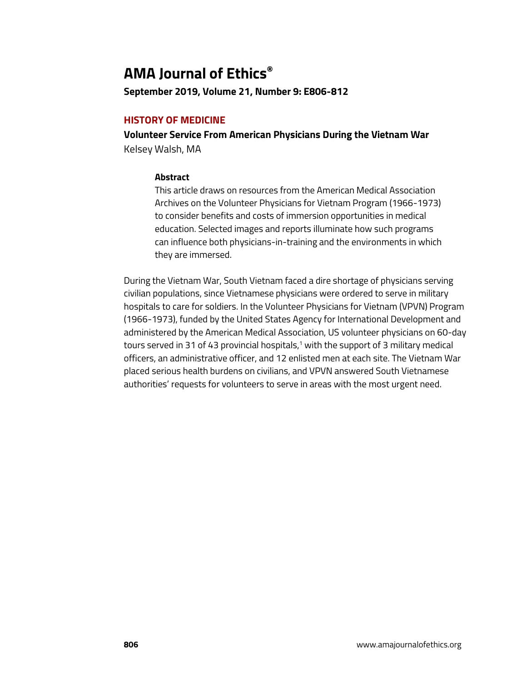# **AMA Journal of Ethics®**

**September 2019, Volume 21, Number 9: E806-812**

## **HISTORY OF MEDICINE**

**Volunteer Service From American Physicians During the Vietnam War**  Kelsey Walsh, MA

## **Abstract**

This article draws on resources from the American Medical Association Archives on the Volunteer Physicians for Vietnam Program (1966-1973) to consider benefits and costs of immersion opportunities in medical education. Selected images and reports illuminate how such programs can influence both physicians-in-training and the environments in which they are immersed.

During the Vietnam War, South Vietnam faced a dire shortage of physicians serving civilian populations, since Vietnamese physicians were ordered to serve in military hospitals to care for soldiers. In the Volunteer Physicians for Vietnam (VPVN) Program (1966-1973), funded by the United States Agency for International Development and administered by the American Medical Association, US volunteer physicians on 60-day tours served in 31 of 43 provincial hospitals, $1$  with the support of 3 military medical officers, an administrative officer, and 12 enlisted men at each site. The Vietnam War placed serious health burdens on civilians, and VPVN answered South Vietnamese authorities' requests for volunteers to serve in areas with the most urgent need.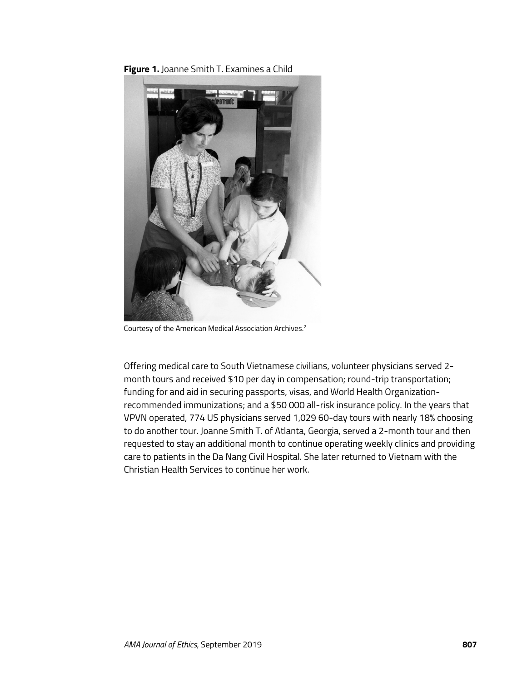



Courtesy of the American Medical Association Archives.2

Offering medical care to South Vietnamese civilians, volunteer physicians served 2 month tours and received \$10 per day in compensation; round-trip transportation; funding for and aid in securing passports, visas, and World Health Organizationrecommended immunizations; and a \$50 000 all-risk insurance policy. In the years that VPVN operated, 774 US physicians served 1,029 60-day tours with nearly 18% choosing to do another tour. Joanne Smith T. of Atlanta, Georgia, served a 2-month tour and then requested to stay an additional month to continue operating weekly clinics and providing care to patients in the Da Nang Civil Hospital. She later returned to Vietnam with the Christian Health Services to continue her work.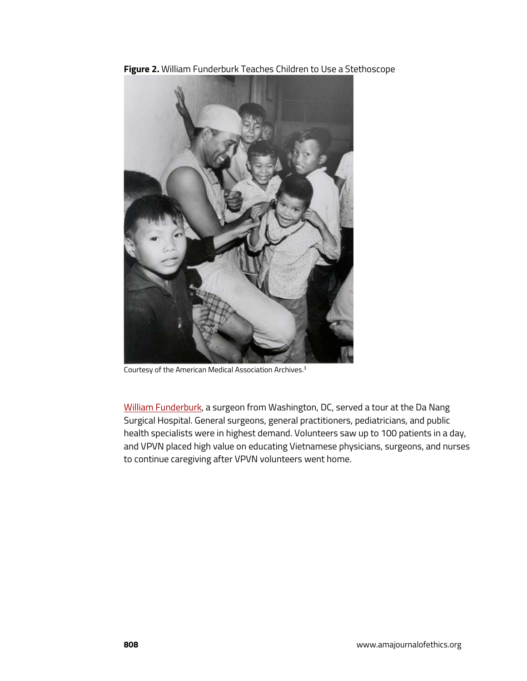

**Figure 2.** William Funderburk Teaches Children to Use a Stethoscope

Courtesy of the American Medical Association Archives.3

[William Funderburk,](https://journalofethics.ama-assn.org/article/bac-si-my-american-doctor-vietnam/2001-05) a surgeon from Washington, DC, served a tour at the Da Nang Surgical Hospital. General surgeons, general practitioners, pediatricians, and public health specialists were in highest demand. Volunteers saw up to 100 patients in a day, and VPVN placed high value on educating Vietnamese physicians, surgeons, and nurses to continue caregiving after VPVN volunteers went home.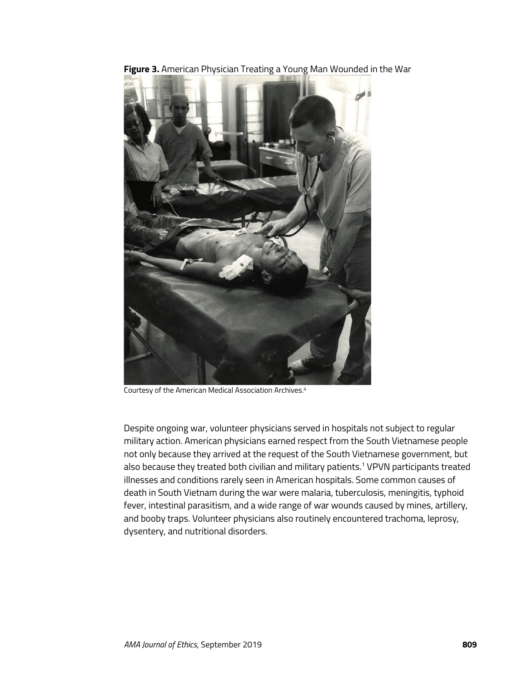

**Figure 3.** American Physician Treating a Young Man Wounded in the War

Courtesy of the American Medical Association Archives.4

Despite ongoing war, volunteer physicians served in hospitals not subject to regular military action. American physicians earned respect from the South Vietnamese people not only because they arrived at the request of the South Vietnamese government, but also because they treated both civilian and military patients.<sup>1</sup> VPVN participants treated illnesses and conditions rarely seen in American hospitals. Some common causes of death in South Vietnam during the war were malaria, tuberculosis, meningitis, typhoid fever, intestinal parasitism, and a wide range of war wounds caused by mines, artillery, and booby traps. Volunteer physicians also routinely encountered trachoma, leprosy, dysentery, and nutritional disorders.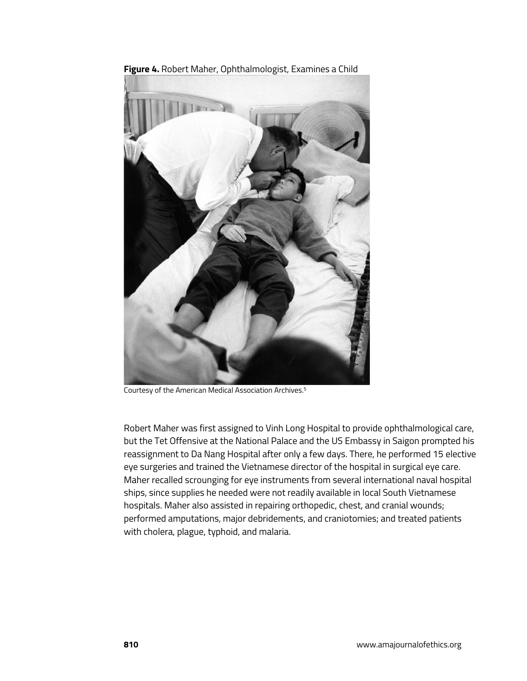

**Figure 4.** Robert Maher, Ophthalmologist, Examines a Child

Courtesy of the American Medical Association Archives.5

Robert Maher was first assigned to Vinh Long Hospital to provide ophthalmological care, but the Tet Offensive at the National Palace and the US Embassy in Saigon prompted his reassignment to Da Nang Hospital after only a few days. There, he performed 15 elective eye surgeries and trained the Vietnamese director of the hospital in surgical eye care. Maher recalled scrounging for eye instruments from several international naval hospital ships, since supplies he needed were not readily available in local South Vietnamese hospitals. Maher also assisted in repairing orthopedic, chest, and cranial wounds; performed amputations, major debridements, and craniotomies; and treated patients with cholera, plague, typhoid, and malaria.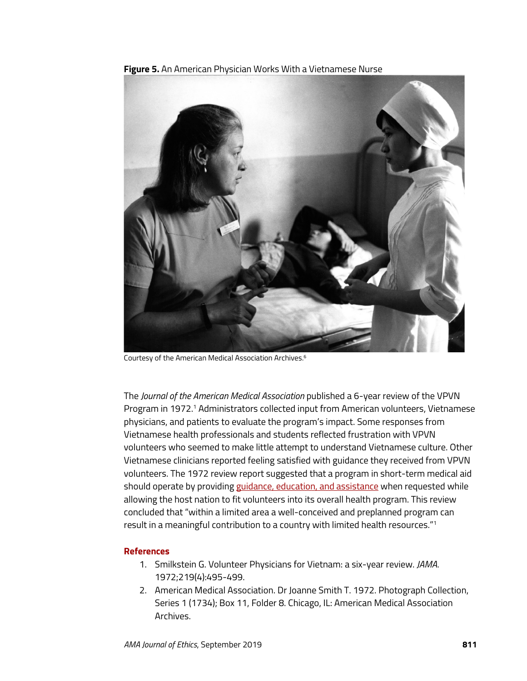

**Figure 5.** An American Physician Works With a Vietnamese Nurse

Courtesy of the American Medical Association Archives.6

The *Journal of the American Medical Association* published a 6-year review of the VPVN Program in 1972.1 Administrators collected input from American volunteers, Vietnamese physicians, and patients to evaluate the program's impact. Some responses from Vietnamese health professionals and students reflected frustration with VPVN volunteers who seemed to make little attempt to understand Vietnamese culture. Other Vietnamese clinicians reported feeling satisfied with guidance they received from VPVN volunteers. The 1972 review report suggested that a program in short-term medical aid should operate by providin[g guidance, education, and assistance](https://journalofethics.ama-assn.org/article/how-should-schools-respond-learners-demands-global-health-training/2019-09) when requested while allowing the host nation to fit volunteers into its overall health program. This review concluded that "within a limited area a well-conceived and preplanned program can result in a meaningful contribution to a country with limited health resources."<sup>1</sup>

#### **References**

- 1. Smilkstein G. Volunteer Physicians for Vietnam: a six-year review. *JAMA*. 1972;219(4):495-499.
- 2. American Medical Association. Dr Joanne Smith T. 1972. Photograph Collection, Series 1 (1734); Box 11, Folder 8. Chicago, IL: American Medical Association Archives.